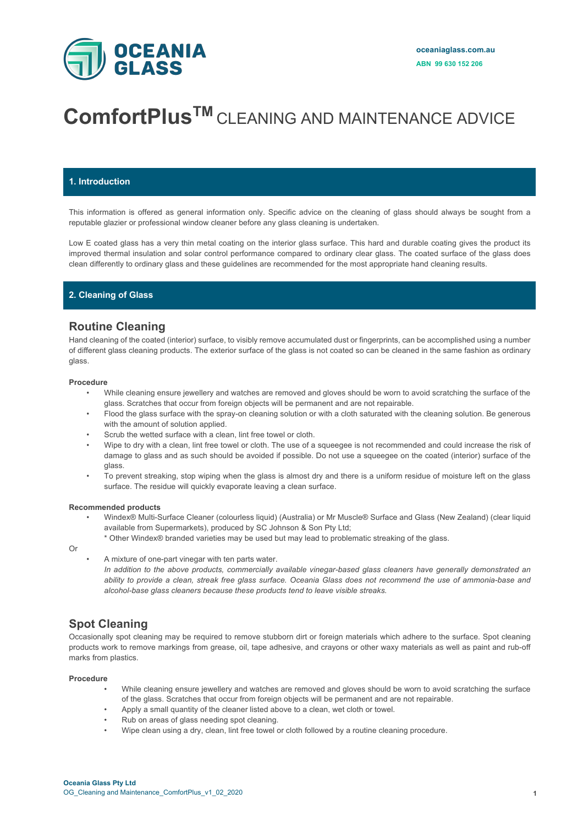

# **ComfortPlusTM** CLEANING AND MAINTENANCE ADVICE

## **1. Introduction**

This information is offered as general information only. Specific advice on the cleaning of glass should always be sought from a reputable glazier or professional window cleaner before any glass cleaning is undertaken.

Low E coated glass has a very thin metal coating on the interior glass surface. This hard and durable coating gives the product its improved thermal insulation and solar control performance compared to ordinary clear glass. The coated surface of the glass does clean differently to ordinary glass and these guidelines are recommended for the most appropriate hand cleaning results.

## **2. Cleaning of Glass**

## **Routine Cleaning**

Hand cleaning of the coated (interior) surface, to visibly remove accumulated dust or fingerprints, can be accomplished using a number of different glass cleaning products. The exterior surface of the glass is not coated so can be cleaned in the same fashion as ordinary glass.

#### **Procedure**

- While cleaning ensure jewellery and watches are removed and gloves should be worn to avoid scratching the surface of the glass. Scratches that occur from foreign objects will be permanent and are not repairable.
- Flood the glass surface with the spray-on cleaning solution or with a cloth saturated with the cleaning solution. Be generous with the amount of solution applied.
- Scrub the wetted surface with a clean, lint free towel or cloth.
- Wipe to dry with a clean, lint free towel or cloth. The use of a squeegee is not recommended and could increase the risk of damage to glass and as such should be avoided if possible. Do not use a squeegee on the coated (interior) surface of the glass.
- To prevent streaking, stop wiping when the glass is almost dry and there is a uniform residue of moisture left on the glass surface. The residue will quickly evaporate leaving a clean surface.

#### **Recommended products**

- Windex® Multi-Surface Cleaner (colourless liquid) (Australia) or Mr Muscle® Surface and Glass (New Zealand) (clear liquid available from Supermarkets), produced by SC Johnson & Son Pty Ltd;
	- \* Other Windex® branded varieties may be used but may lead to problematic streaking of the glass.
- Or
- A mixture of one-part vinegar with ten parts water.

*In addition to the above products, commercially available vinegar-based glass cleaners have generally demonstrated an ability to provide a clean, streak free glass surface. Oceania Glass does not recommend the use of ammonia-base and alcohol-base glass cleaners because these products tend to leave visible streaks.*

# **Spot Cleaning**

Occasionally spot cleaning may be required to remove stubborn dirt or foreign materials which adhere to the surface. Spot cleaning products work to remove markings from grease, oil, tape adhesive, and crayons or other waxy materials as well as paint and rub-off marks from plastics.

#### **Procedure**

- While cleaning ensure jewellery and watches are removed and gloves should be worn to avoid scratching the surface of the glass. Scratches that occur from foreign objects will be permanent and are not repairable.
- Apply a small quantity of the cleaner listed above to a clean, wet cloth or towel.
- Rub on areas of glass needing spot cleaning.
- Wipe clean using a dry, clean, lint free towel or cloth followed by a routine cleaning procedure.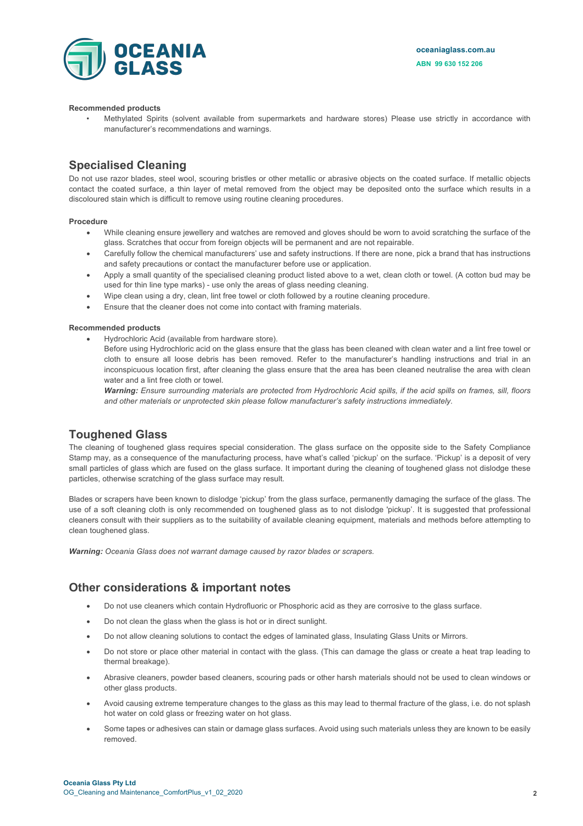**oceaniaglass.com.au ABN 99 630 152 206**



#### **Recommended products**

• Methylated Spirits (solvent available from supermarkets and hardware stores) Please use strictly in accordance with manufacturer's recommendations and warnings.

# **Specialised Cleaning**

Do not use razor blades, steel wool, scouring bristles or other metallic or abrasive objects on the coated surface. If metallic objects contact the coated surface, a thin layer of metal removed from the object may be deposited onto the surface which results in a discoloured stain which is difficult to remove using routine cleaning procedures.

#### **Procedure**

- While cleaning ensure jewellery and watches are removed and gloves should be worn to avoid scratching the surface of the glass. Scratches that occur from foreign objects will be permanent and are not repairable.
- Carefully follow the chemical manufacturers' use and safety instructions. If there are none, pick a brand that has instructions and safety precautions or contact the manufacturer before use or application.
- Apply a small quantity of the specialised cleaning product listed above to a wet, clean cloth or towel. (A cotton bud may be used for thin line type marks) - use only the areas of glass needing cleaning.
- Wipe clean using a dry, clean, lint free towel or cloth followed by a routine cleaning procedure.
- Ensure that the cleaner does not come into contact with framing materials.

#### **Recommended products**

• Hydrochloric Acid (available from hardware store).

Before using Hydrochloric acid on the glass ensure that the glass has been cleaned with clean water and a lint free towel or cloth to ensure all loose debris has been removed. Refer to the manufacturer's handling instructions and trial in an inconspicuous location first, after cleaning the glass ensure that the area has been cleaned neutralise the area with clean water and a lint free cloth or towel.

*Warning: Ensure surrounding materials are protected from Hydrochloric Acid spills, if the acid spills on frames, sill, floors and other materials or unprotected skin please follow manufacturer's safety instructions immediately.*

## **Toughened Glass**

The cleaning of toughened glass requires special consideration. The glass surface on the opposite side to the Safety Compliance Stamp may, as a consequence of the manufacturing process, have what's called 'pickup' on the surface. 'Pickup' is a deposit of very small particles of glass which are fused on the glass surface. It important during the cleaning of toughened glass not dislodge these particles, otherwise scratching of the glass surface may result.

Blades or scrapers have been known to dislodge 'pickup' from the glass surface, permanently damaging the surface of the glass. The use of a soft cleaning cloth is only recommended on toughened glass as to not dislodge 'pickup'. It is suggested that professional cleaners consult with their suppliers as to the suitability of available cleaning equipment, materials and methods before attempting to clean toughened glass.

*Warning: Oceania Glass does not warrant damage caused by razor blades or scrapers.*

## **Other considerations & important notes**

- Do not use cleaners which contain Hydrofluoric or Phosphoric acid as they are corrosive to the glass surface.
- Do not clean the glass when the glass is hot or in direct sunlight.
- Do not allow cleaning solutions to contact the edges of laminated glass, Insulating Glass Units or Mirrors.
- Do not store or place other material in contact with the glass. (This can damage the glass or create a heat trap leading to thermal breakage).
- Abrasive cleaners, powder based cleaners, scouring pads or other harsh materials should not be used to clean windows or other glass products.
- Avoid causing extreme temperature changes to the glass as this may lead to thermal fracture of the glass, i.e. do not splash hot water on cold glass or freezing water on hot glass.
- Some tapes or adhesives can stain or damage glass surfaces. Avoid using such materials unless they are known to be easily removed.